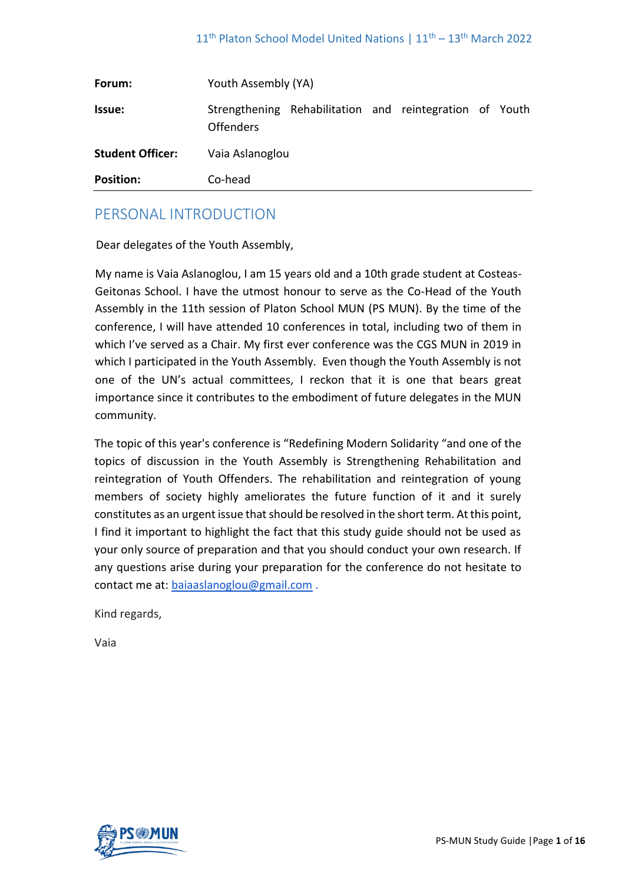| Forum:                  | Youth Assembly (YA) |                                                         |  |  |  |  |
|-------------------------|---------------------|---------------------------------------------------------|--|--|--|--|
| <b>Issue:</b>           | <b>Offenders</b>    | Strengthening Rehabilitation and reintegration of Youth |  |  |  |  |
| <b>Student Officer:</b> | Vaia Aslanoglou     |                                                         |  |  |  |  |
| <b>Position:</b>        | Co-head             |                                                         |  |  |  |  |

## PERSONAL INTRODUCTION

Dear delegates of the Youth Assembly,

My name is Vaia Aslanoglou, I am 15 years old and a 10th grade student at Costeas-Geitonas School. I have the utmost honour to serve as the Co-Head of the Youth Assembly in the 11th session of Platon School MUN (PS MUN). By the time of the conference, I will have attended 10 conferences in total, including two of them in which I've served as a Chair. My first ever conference was the CGS MUN in 2019 in which I participated in the Youth Assembly. Even though the Youth Assembly is not one of the UN's actual committees, I reckon that it is one that bears great importance since it contributes to the embodiment of future delegates in the MUN community.

The topic of this year's conference is "Redefining Modern Solidarity "and one of the topics of discussion in the Youth Assembly is Strengthening Rehabilitation and reintegration of Youth Offenders. The rehabilitation and reintegration of young members of society highly ameliorates the future function of it and it surely constitutes as an urgent issue that should be resolved in the short term. At this point, I find it important to highlight the fact that this study guide should not be used as your only source of preparation and that you should conduct your own research. If any questions arise during your preparation for the conference do not hesitate to contact me at: baiaaslanoglou@gmail.com .

Kind regards,

Vaia

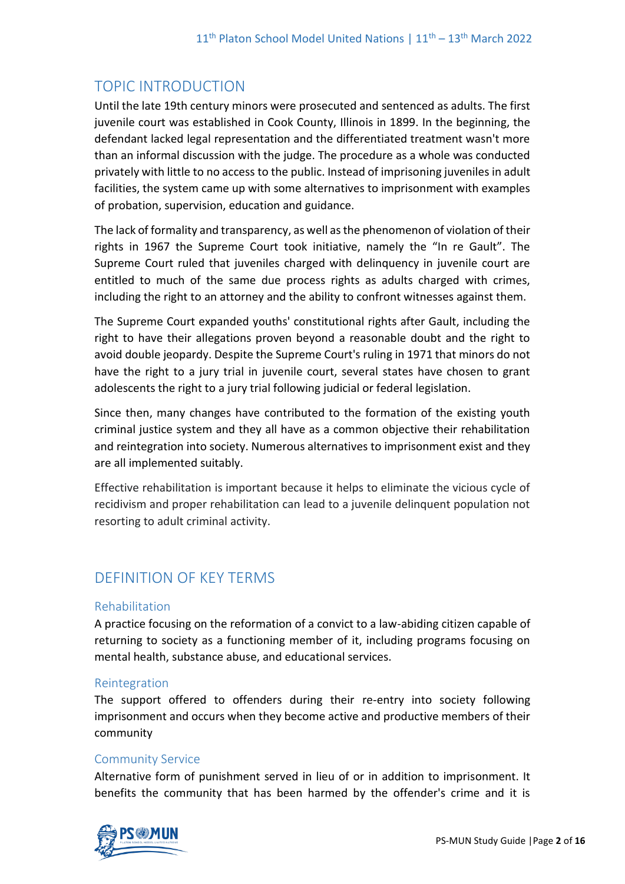# TOPIC INTRODUCTION

Until the late 19th century minors were prosecuted and sentenced as adults. The first juvenile court was established in Cook County, Illinois in 1899. In the beginning, the defendant lacked legal representation and the differentiated treatment wasn't more than an informal discussion with the judge. The procedure as a whole was conducted privately with little to no access to the public. Instead of imprisoning juveniles in adult facilities, the system came up with some alternatives to imprisonment with examples of probation, supervision, education and guidance.

The lack of formality and transparency, as well as the phenomenon of violation of their rights in 1967 the Supreme Court took initiative, namely the "In re Gault". The Supreme Court ruled that juveniles charged with delinquency in juvenile court are entitled to much of the same due process rights as adults charged with crimes, including the right to an attorney and the ability to confront witnesses against them.

The Supreme Court expanded youths' constitutional rights after Gault, including the right to have their allegations proven beyond a reasonable doubt and the right to avoid double jeopardy. Despite the Supreme Court's ruling in 1971 that minors do not have the right to a jury trial in juvenile court, several states have chosen to grant adolescents the right to a jury trial following judicial or federal legislation.

Since then, many changes have contributed to the formation of the existing youth criminal justice system and they all have as a common objective their rehabilitation and reintegration into society. Numerous alternatives to imprisonment exist and they are all implemented suitably.

Effective rehabilitation is important because it helps to eliminate the vicious cycle of recidivism and proper rehabilitation can lead to a juvenile delinquent population not resorting to adult criminal activity.

# DEFINITION OF KEY TERMS

## Rehabilitation

A practice focusing on the reformation of a convict to a law-abiding citizen capable of returning to society as a functioning member of it, including programs focusing on mental health, substance abuse, and educational services.

## Reintegration

The support offered to offenders during their re-entry into society following imprisonment and occurs when they become active and productive members of their community

## Community Service

Alternative form of punishment served in lieu of or in addition to imprisonment. It benefits the community that has been harmed by the offender's crime and it is

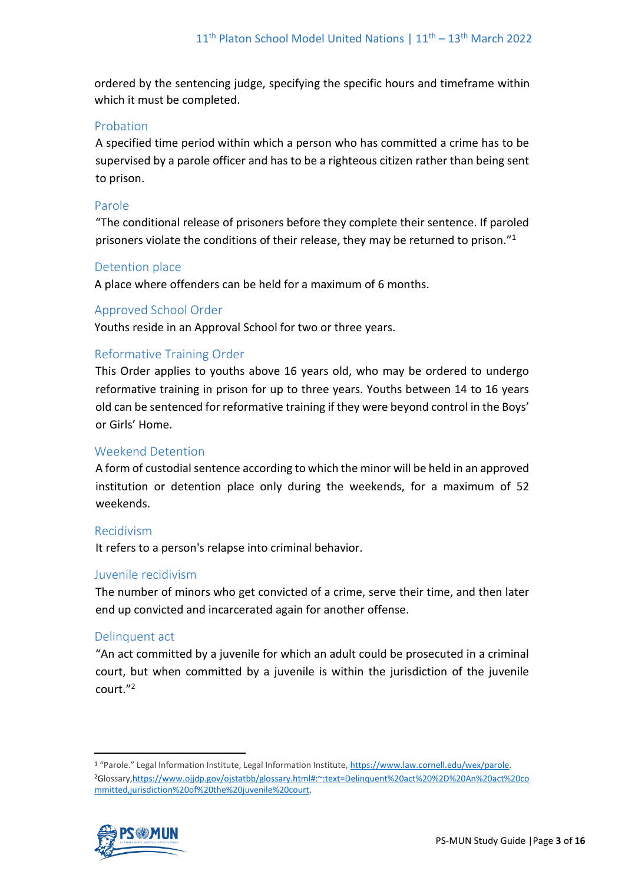ordered by the sentencing judge, specifying the specific hours and timeframe within which it must be completed.

## Probation

A specified time period within which a person who has committed a crime has to be supervised by a parole officer and has to be a righteous citizen rather than being sent to prison.

## Parole

"The conditional release of prisoners before they complete their sentence. If paroled prisoners violate the conditions of their release, they may be returned to prison."<sup>1</sup>

## Detention place

A place where offenders can be held for a maximum of 6 months.

## Approved School Order

Youths reside in an Approval School for two or three years.

## Reformative Training Order

This Order applies to youths above 16 years old, who may be ordered to undergo reformative training in prison for up to three years. Youths between 14 to 16 years old can be sentenced for reformative training if they were beyond control in the Boys' or Girls' Home.

## Weekend Detention

A form of custodial sentence according to which the minor will be held in an approved institution or detention place only during the weekends, for a maximum of 52 weekends.

## Recidivism

It refers to a person's relapse into criminal behavior.

## Juvenile recidivism

The number of minors who get convicted of a crime, serve their time, and then later end up convicted and incarcerated again for another offense.

## Delinquent act

"An act committed by a juvenile for which an adult could be prosecuted in a criminal court, but when committed by a juvenile is within the jurisdiction of the juvenile court."<sup>2</sup>

<sup>1</sup> "Parole." Legal Information Institute, Legal Information Institute, [https://www.law.cornell.edu/wex/parole.](https://www.law.cornell.edu/wex/parole) <sup>2</sup>Glossary[,https://www.ojjdp.gov/ojstatbb/glossary.html#:~:text=Delinquent%20act%20%2D%20An%20act%20co](https://www.ojjdp.gov/ojstatbb/glossary.html#:~:text=Delinquent%20act%20%2D%20An%20act%20committed,jurisdiction%20of%20the%20juvenile%20court) [mmitted,jurisdiction%20of%20the%20juvenile%20court.](https://www.ojjdp.gov/ojstatbb/glossary.html#:~:text=Delinquent%20act%20%2D%20An%20act%20committed,jurisdiction%20of%20the%20juvenile%20court)

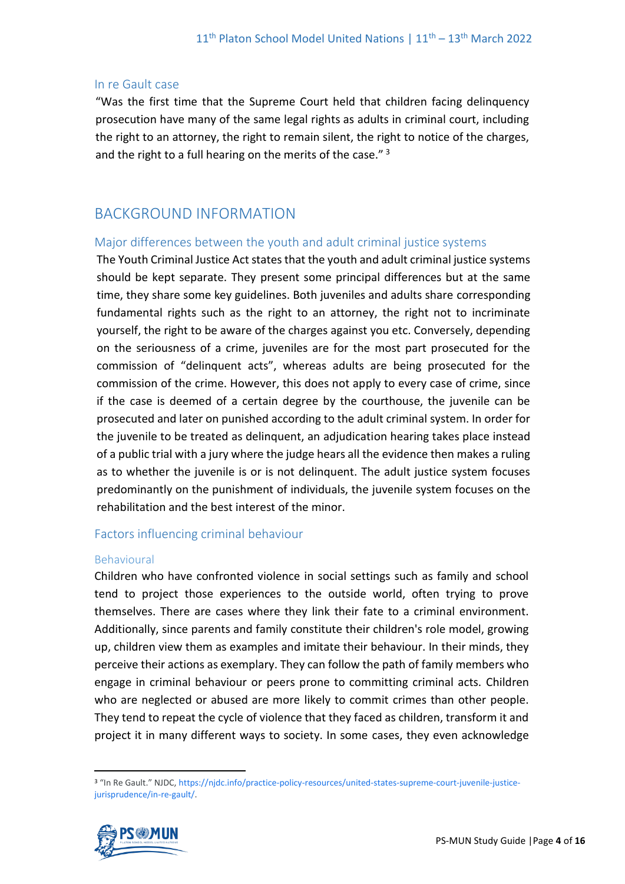#### In re Gault case

"Was the first time that the Supreme Court held that children facing delinquency prosecution have many of the same legal rights as adults in criminal court, including the right to an attorney, the right to remain silent, the right to notice of the charges, and the right to a full hearing on the merits of the case." $3$ 

## BACKGROUND INFORMATION

#### Major differences between the youth and adult criminal justice systems

The Youth Criminal Justice Act states that the youth and adult criminal justice systems should be kept separate. They present some principal differences but at the same time, they share some key guidelines. Both juveniles and adults share corresponding fundamental rights such as the right to an attorney, the right not to incriminate yourself, the right to be aware of the charges against you etc. Conversely, depending on the seriousness of a crime, juveniles are for the most part prosecuted for the commission of "delinquent acts", whereas adults are being prosecuted for the commission of the crime. However, this does not apply to every case of crime, since if the case is deemed of a certain degree by the courthouse, the juvenile can be prosecuted and later on punished according to the adult criminal system. In order for the juvenile to be treated as delinquent, an adjudication hearing takes place instead of a public trial with a jury where the judge hears all the evidence then makes a ruling as to whether the juvenile is or is not delinquent. The adult justice system focuses predominantly on the punishment of individuals, the juvenile system focuses on the rehabilitation and the best interest of the minor.

#### Factors influencing criminal behaviour

#### Behavioural

Children who have confronted violence in social settings such as family and school tend to project those experiences to the outside world, often trying to prove themselves. There are cases where they link their fate to a criminal environment. Additionally, since parents and family constitute their children's role model, growing up, children view them as examples and imitate their behaviour. In their minds, they perceive their actions as exemplary. They can follow the path of family members who engage in criminal behaviour or peers prone to committing criminal acts. Children who are neglected or abused are more likely to commit crimes than other people. They tend to repeat the cycle of violence that they faced as children, transform it and project it in many different ways to society. In some cases, they even acknowledge

<sup>&</sup>lt;sup>3</sup> "In Re Gault." NJDC, [https://njdc.info/practice-policy-resources/united-states-supreme-court-juvenile-justice](https://njdc.info/practice-policy-resources/united-states-supreme-court-juvenile-justice-jurisprudence/in-re-gault/)[jurisprudence/in-re-gault/.](https://njdc.info/practice-policy-resources/united-states-supreme-court-juvenile-justice-jurisprudence/in-re-gault/)

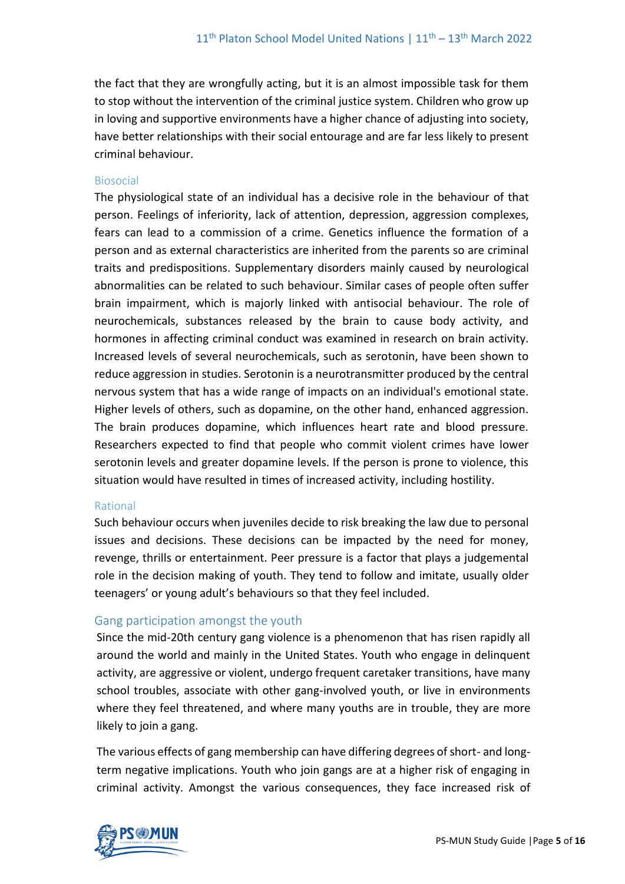the fact that they are wrongfully acting, but it is an almost impossible task for them to stop without the intervention of the criminal justice system. Children who grow up in loving and supportive environments have a higher chance of adjusting into society, have better relationships with their social entourage and are far less likely to present criminal behaviour.

#### Biosocial

The physiological state of an individual has a decisive role in the behaviour of that person. Feelings of inferiority, lack of attention, depression, aggression complexes, fears can lead to a commission of a crime. Genetics influence the formation of a person and as external characteristics are inherited from the parents so are criminal traits and predispositions. Supplementary disorders mainly caused by neurological abnormalities can be related to such behaviour. Similar cases of people often suffer brain impairment, which is majorly linked with antisocial behaviour. The role of neurochemicals, substances released by the brain to cause body activity, and hormones in affecting criminal conduct was examined in research on brain activity. Increased levels of several neurochemicals, such as serotonin, have been shown to reduce aggression in studies. Serotonin is a neurotransmitter produced by the central nervous system that has a wide range of impacts on an individual's emotional state. Higher levels of others, such as dopamine, on the other hand, enhanced aggression. The brain produces dopamine, which influences heart rate and blood pressure. Researchers expected to find that people who commit violent crimes have lower serotonin levels and greater dopamine levels. If the person is prone to violence, this situation would have resulted in times of increased activity, including hostility.

#### Rational

Such behaviour occurs when juveniles decide to risk breaking the law due to personal issues and decisions. These decisions can be impacted by the need for money, revenge, thrills or entertainment. Peer pressure is a factor that plays a judgemental role in the decision making of youth. They tend to follow and imitate, usually older teenagers' or young adult's behaviours so that they feel included.

#### Gang participation amongst the youth

Since the mid-20th century gang violence is a phenomenon that has risen rapidly all around the world and mainly in the United States. Youth who engage in delinquent activity, are aggressive or violent, undergo frequent caretaker transitions, have many school troubles, associate with other gang-involved youth, or live in environments where they feel threatened, and where many youths are in trouble, they are more likely to join a gang.

The various effects of gang membership can have differing degrees of short- and longterm negative implications. Youth who join gangs are at a higher risk of engaging in criminal activity. Amongst the various consequences, they face increased risk of

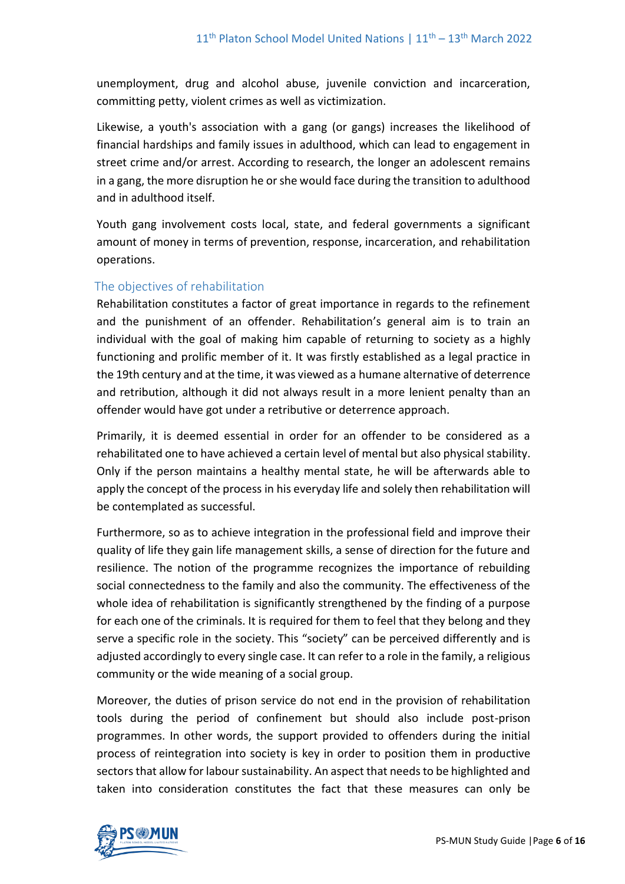unemployment, drug and alcohol abuse, juvenile conviction and incarceration, committing petty, violent crimes as well as victimization.

Likewise, a youth's association with a gang (or gangs) increases the likelihood of financial hardships and family issues in adulthood, which can lead to engagement in street crime and/or arrest. According to research, the longer an adolescent remains in a gang, the more disruption he or she would face during the transition to adulthood and in adulthood itself.

Youth gang involvement costs local, state, and federal governments a significant amount of money in terms of prevention, response, incarceration, and rehabilitation operations.

## The objectives of rehabilitation

Rehabilitation constitutes a factor of great importance in regards to the refinement and the punishment of an offender. Rehabilitation's general aim is to train an individual with the goal of making him capable of returning to society as a highly functioning and prolific member of it. It was firstly established as a legal practice in the 19th century and at the time, it was viewed as a humane alternative of deterrence and retribution, although it did not always result in a more lenient penalty than an offender would have got under a retributive or deterrence approach.

Primarily, it is deemed essential in order for an offender to be considered as a rehabilitated one to have achieved a certain level of mental but also physical stability. Only if the person maintains a healthy mental state, he will be afterwards able to apply the concept of the process in his everyday life and solely then rehabilitation will be contemplated as successful.

Furthermore, so as to achieve integration in the professional field and improve their quality of life they gain life management skills, a sense of direction for the future and resilience. The notion of the programme recognizes the importance of rebuilding social connectedness to the family and also the community. The effectiveness of the whole idea of rehabilitation is significantly strengthened by the finding of a purpose for each one of the criminals. It is required for them to feel that they belong and they serve a specific role in the society. This "society" can be perceived differently and is adjusted accordingly to every single case. It can refer to a role in the family, a religious community or the wide meaning of a social group.

Moreover, the duties of prison service do not end in the provision of rehabilitation tools during the period of confinement but should also include post-prison programmes. In other words, the support provided to offenders during the initial process of reintegration into society is key in order to position them in productive sectors that allow for labour sustainability. An aspect that needs to be highlighted and taken into consideration constitutes the fact that these measures can only be

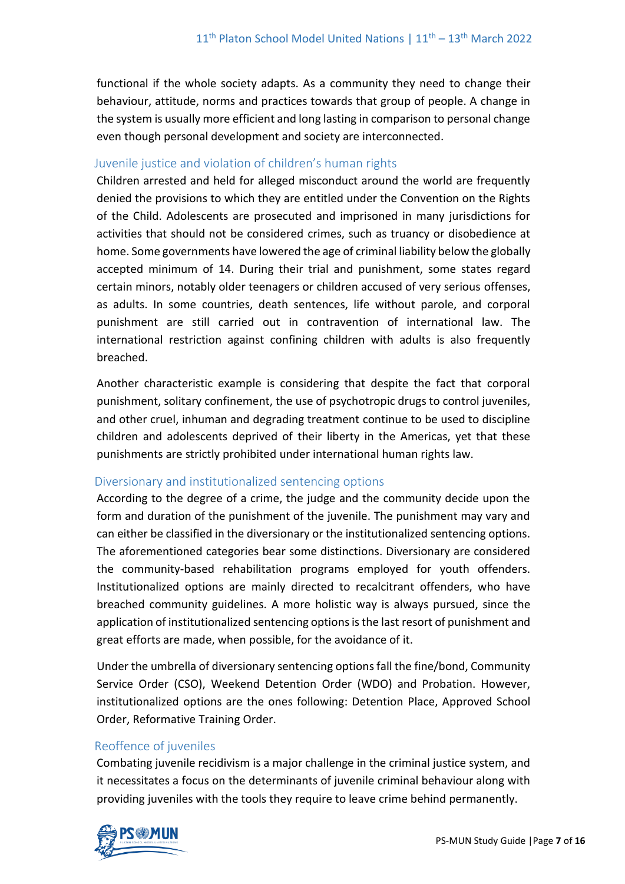functional if the whole society adapts. As a community they need to change their behaviour, attitude, norms and practices towards that group of people. A change in the system is usually more efficient and long lasting in comparison to personal change even though personal development and society are interconnected.

## Juvenile justice and violation of children's human rights

Children arrested and held for alleged misconduct around the world are frequently denied the provisions to which they are entitled under the Convention on the Rights of the Child. Adolescents are prosecuted and imprisoned in many jurisdictions for activities that should not be considered crimes, such as truancy or disobedience at home. Some governments have lowered the age of criminal liability below the globally accepted minimum of 14. During their trial and punishment, some states regard certain minors, notably older teenagers or children accused of very serious offenses, as adults. In some countries, death sentences, life without parole, and corporal punishment are still carried out in contravention of international law. The international restriction against confining children with adults is also frequently breached.

Another characteristic example is considering that despite the fact that corporal punishment, solitary confinement, the use of psychotropic drugs to control juveniles, and other cruel, inhuman and degrading treatment continue to be used to discipline children and adolescents deprived of their liberty in the Americas, yet that these punishments are strictly prohibited under international human rights law.

## Diversionary and institutionalized sentencing options

According to the degree of a crime, the judge and the community decide upon the form and duration of the punishment of the juvenile. The punishment may vary and can either be classified in the diversionary or the institutionalized sentencing options. The aforementioned categories bear some distinctions. Diversionary are considered the community-based rehabilitation programs employed for youth offenders. Institutionalized options are mainly directed to recalcitrant offenders, who have breached community guidelines. A more holistic way is always pursued, since the application of institutionalized sentencing options is the last resort of punishment and great efforts are made, when possible, for the avoidance of it.

Under the umbrella of diversionary sentencing options fall the fine/bond, Community Service Order (CSO), Weekend Detention Order (WDO) and Probation. However, institutionalized options are the ones following: Detention Place, Approved School Order, Reformative Training Order.

## Reoffence of juveniles

Combating juvenile recidivism is a major challenge in the criminal justice system, and it necessitates a focus on the determinants of juvenile criminal behaviour along with providing juveniles with the tools they require to leave crime behind permanently.

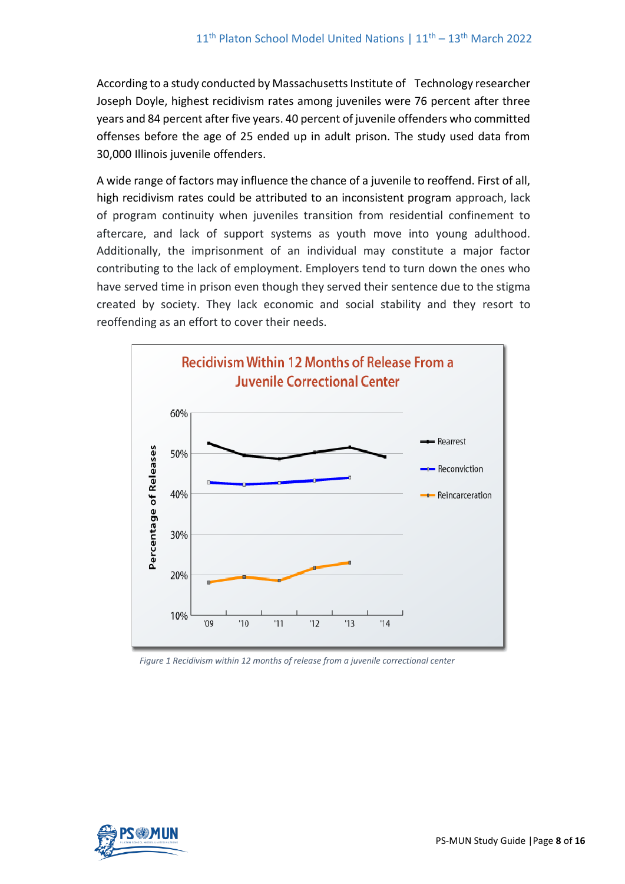According to a study conducted by Massachusetts Institute of Technology researcher Joseph Doyle, highest recidivism rates among juveniles were 76 percent after three years and 84 percent after five years. 40 percent of juvenile offenders who committed offenses before the age of 25 ended up in adult prison. The study used data from 30,000 Illinois juvenile offenders.

A wide range of factors may influence the chance of a juvenile to reoffend. First of all, high recidivism rates could be attributed to an inconsistent program approach, lack of program continuity when juveniles transition from residential confinement to aftercare, and lack of support systems as youth move into young adulthood. Additionally, the imprisonment of an individual may constitute a major factor contributing to the lack of employment. Employers tend to turn down the ones who have served time in prison even though they served their sentence due to the stigma created by society. They lack economic and social stability and they resort to reoffending as an effort to cover their needs.



*Figure 1 Recidivism within 12 months of release from a juvenile correctional center* 

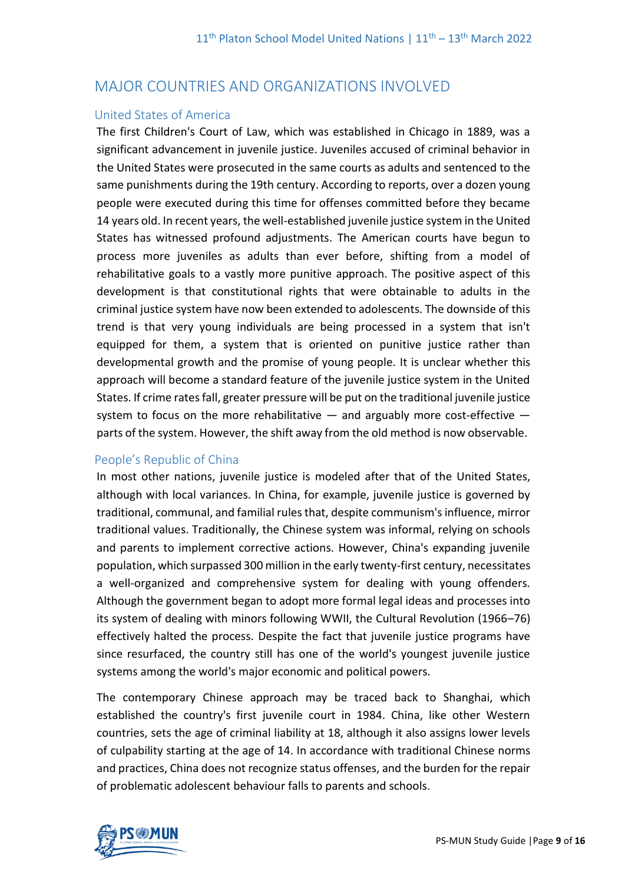## MAJOR COUNTRIES AND ORGANIZATIONS INVOLVED

#### United States of America

The first Children's Court of Law, which was established in Chicago in 1889, was a significant advancement in juvenile justice. Juveniles accused of criminal behavior in the United States were prosecuted in the same courts as adults and sentenced to the same punishments during the 19th century. According to reports, over a dozen young people were executed during this time for offenses committed before they became 14 years old. In recent years, the well-established juvenile justice system in the United States has witnessed profound adjustments. The American courts have begun to process more juveniles as adults than ever before, shifting from a model of rehabilitative goals to a vastly more punitive approach. The positive aspect of this development is that constitutional rights that were obtainable to adults in the criminal justice system have now been extended to adolescents. The downside of this trend is that very young individuals are being processed in a system that isn't equipped for them, a system that is oriented on punitive justice rather than developmental growth and the promise of young people. It is unclear whether this approach will become a standard feature of the juvenile justice system in the United States. If crime rates fall, greater pressure will be put on the traditional juvenile justice system to focus on the more rehabilitative  $-$  and arguably more cost-effective  $$ parts of the system. However, the shift away from the old method is now observable.

## People's Republic of China

In most other nations, juvenile justice is modeled after that of the United States, although with local variances. In China, for example, juvenile justice is governed by traditional, communal, and familial rules that, despite communism's influence, mirror traditional values. Traditionally, the Chinese system was informal, relying on schools and parents to implement corrective actions. However, China's expanding juvenile population, which surpassed 300 million in the early twenty-first century, necessitates a well-organized and comprehensive system for dealing with young offenders. Although the government began to adopt more formal legal ideas and processes into its system of dealing with minors following WWII, the Cultural Revolution (1966–76) effectively halted the process. Despite the fact that juvenile justice programs have since resurfaced, the country still has one of the world's youngest juvenile justice systems among the world's major economic and political powers.

The contemporary Chinese approach may be traced back to Shanghai, which established the country's first juvenile court in 1984. China, like other Western countries, sets the age of criminal liability at 18, although it also assigns lower levels of culpability starting at the age of 14. In accordance with traditional Chinese norms and practices, China does not recognize status offenses, and the burden for the repair of problematic adolescent behaviour falls to parents and schools.

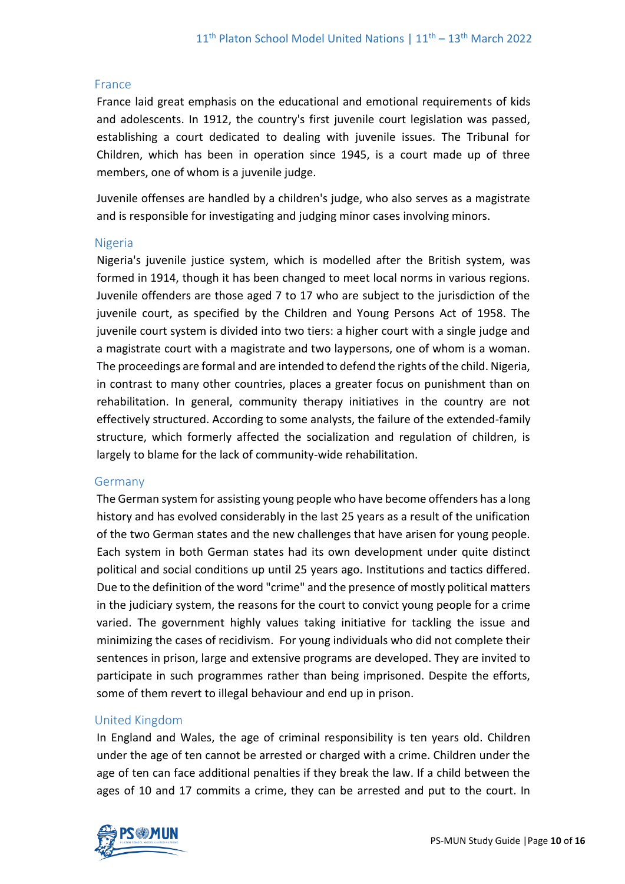#### France

France laid great emphasis on the educational and emotional requirements of kids and adolescents. In 1912, the country's first juvenile court legislation was passed, establishing a court dedicated to dealing with juvenile issues. The Tribunal for Children, which has been in operation since 1945, is a court made up of three members, one of whom is a juvenile judge.

Juvenile offenses are handled by a children's judge, who also serves as a magistrate and is responsible for investigating and judging minor cases involving minors.

#### Nigeria

Nigeria's juvenile justice system, which is modelled after the British system, was formed in 1914, though it has been changed to meet local norms in various regions. Juvenile offenders are those aged 7 to 17 who are subject to the jurisdiction of the juvenile court, as specified by the Children and Young Persons Act of 1958. The juvenile court system is divided into two tiers: a higher court with a single judge and a magistrate court with a magistrate and two laypersons, one of whom is a woman. The proceedings are formal and are intended to defend the rights of the child. Nigeria, in contrast to many other countries, places a greater focus on punishment than on rehabilitation. In general, community therapy initiatives in the country are not effectively structured. According to some analysts, the failure of the extended-family structure, which formerly affected the socialization and regulation of children, is largely to blame for the lack of community-wide rehabilitation.

#### Germany

The German system for assisting young people who have become offenders has a long history and has evolved considerably in the last 25 years as a result of the unification of the two German states and the new challenges that have arisen for young people. Each system in both German states had its own development under quite distinct political and social conditions up until 25 years ago. Institutions and tactics differed. Due to the definition of the word "crime" and the presence of mostly political matters in the judiciary system, the reasons for the court to convict young people for a crime varied. The government highly values taking initiative for tackling the issue and minimizing the cases of recidivism. For young individuals who did not complete their sentences in prison, large and extensive programs are developed. They are invited to participate in such programmes rather than being imprisoned. Despite the efforts, some of them revert to illegal behaviour and end up in prison.

#### United Kingdom

In England and Wales, the age of criminal responsibility is ten years old. Children under the age of ten cannot be arrested or charged with a crime. Children under the age of ten can face additional penalties if they break the law. If a child between the ages of 10 and 17 commits a crime, they can be arrested and put to the court. In

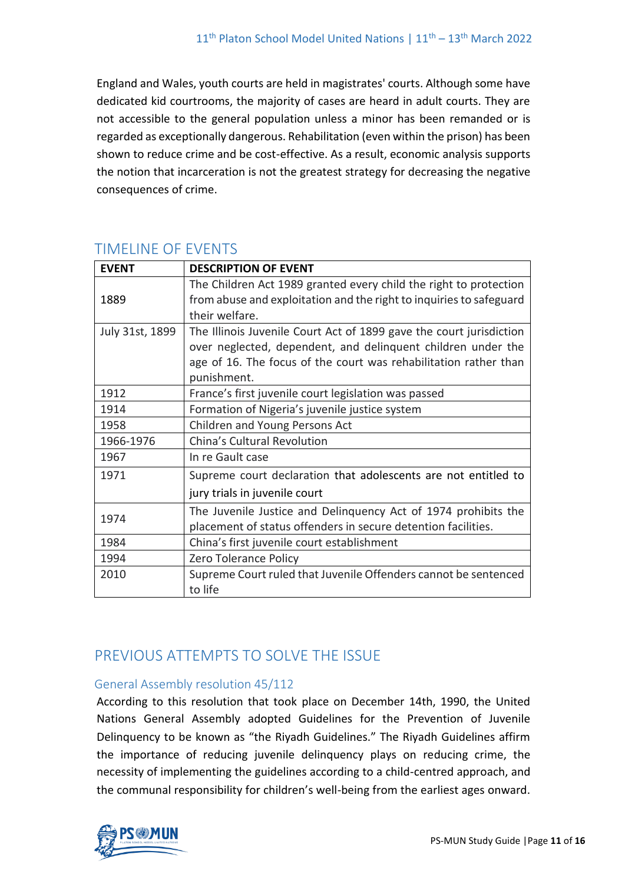England and Wales, youth courts are held in magistrates' courts. Although some have dedicated kid courtrooms, the majority of cases are heard in adult courts. They are not accessible to the general population unless a minor has been remanded or is regarded as exceptionally dangerous. Rehabilitation (even within the prison) has been shown to reduce crime and be cost-effective. As a result, economic analysis supports the notion that incarceration is not the greatest strategy for decreasing the negative consequences of crime.

| <b>EVENT</b>    | <b>DESCRIPTION OF EVENT</b>                                         |
|-----------------|---------------------------------------------------------------------|
|                 | The Children Act 1989 granted every child the right to protection   |
| 1889            | from abuse and exploitation and the right to inquiries to safeguard |
|                 | their welfare.                                                      |
| July 31st, 1899 | The Illinois Juvenile Court Act of 1899 gave the court jurisdiction |
|                 | over neglected, dependent, and delinquent children under the        |
|                 | age of 16. The focus of the court was rehabilitation rather than    |
|                 | punishment.                                                         |
| 1912            | France's first juvenile court legislation was passed                |
| 1914            | Formation of Nigeria's juvenile justice system                      |
| 1958            | Children and Young Persons Act                                      |
| 1966-1976       | China's Cultural Revolution                                         |
| 1967            | In re Gault case                                                    |
| 1971            | Supreme court declaration that adolescents are not entitled to      |
|                 | jury trials in juvenile court                                       |
| 1974            | The Juvenile Justice and Delinguency Act of 1974 prohibits the      |
|                 | placement of status offenders in secure detention facilities.       |
| 1984            | China's first juvenile court establishment                          |
| 1994            | Zero Tolerance Policy                                               |
| 2010            | Supreme Court ruled that Juvenile Offenders cannot be sentenced     |
|                 | to life                                                             |

# TIMELINE OF EVENTS

# PREVIOUS ATTEMPTS TO SOLVE THE ISSUE

## General Assembly resolution 45/112

According to this resolution that took place on December 14th, 1990, the United Nations General Assembly adopted Guidelines for the Prevention of Juvenile Delinquency to be known as "the Riyadh Guidelines." The Riyadh Guidelines affirm the importance of reducing juvenile delinquency plays on reducing crime, the necessity of implementing the guidelines according to a child-centred approach, and the communal responsibility for children's well-being from the earliest ages onward.

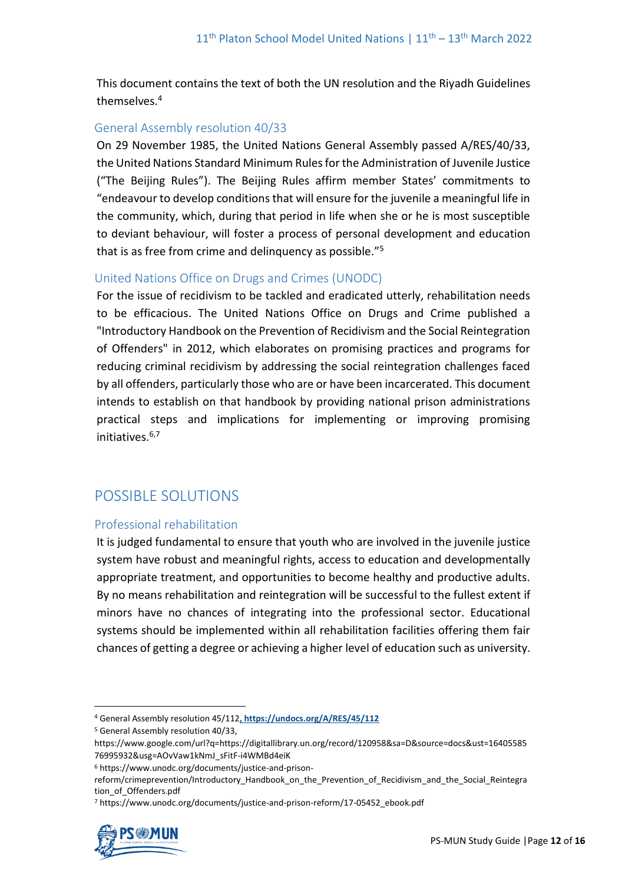This document contains the text of both the UN resolution and the Riyadh Guidelines themselves.<sup>4</sup>

## General Assembly resolution 40/33

On 29 November 1985, the United Nations General Assembly passed A/RES/40/33, the United Nations Standard Minimum Rules for the Administration of Juvenile Justice ("The Beijing Rules"). The Beijing Rules affirm member States' commitments to "endeavour to develop conditions that will ensure for the juvenile a meaningful life in the community, which, during that period in life when she or he is most susceptible to deviant behaviour, will foster a process of personal development and education that is as free from crime and delinquency as possible."<sup>5</sup>

## United Nations Office on Drugs and Crimes (UNODC)

For the issue of recidivism to be tackled and eradicated utterly, rehabilitation needs to be efficacious. The United Nations Office on Drugs and Crime published a "Introductory Handbook on the Prevention of Recidivism and the Social Reintegration of Offenders" in 2012, which elaborates on promising practices and programs for reducing criminal recidivism by addressing the social reintegration challenges faced by all offenders, particularly those who are or have been incarcerated. This document intends to establish on that handbook by providing national prison administrations practical steps and implications for implementing or improving promising initiatives  $6,7$ 

## POSSIBLE SOLUTIONS

## Professional rehabilitation

It is judged fundamental to ensure that youth who are involved in the juvenile justice system have robust and meaningful rights, access to education and developmentally appropriate treatment, and opportunities to become healthy and productive adults. By no means rehabilitation and reintegration will be successful to the fullest extent if minors have no chances of integrating into the professional sector. Educational systems should be implemented within all rehabilitation facilities offering them fair chances of getting a degree or achieving a higher level of education such as university.

<sup>7</sup> https://www.unodc.org/documents/justice-and-prison-reform/17-05452\_ebook.pdf



<sup>4</sup> General Assembly resolution 45/112**, https://undocs.org/A/RES/45/112**

<sup>5</sup> General Assembly resolution 40/33,

https://www.google.com/url?q=https://digitallibrary.un.org/record/120958&sa=D&source=docs&ust=16405585 76995932&usg=AOvVaw1kNmJ\_sFitF-i4WMBd4eiK

<sup>6</sup> https://www.unodc.org/documents/justice-and-prison-

reform/crimeprevention/Introductory\_Handbook\_on\_the\_Prevention\_of\_Recidivism\_and\_the\_Social\_Reintegra tion\_of\_Offenders.pdf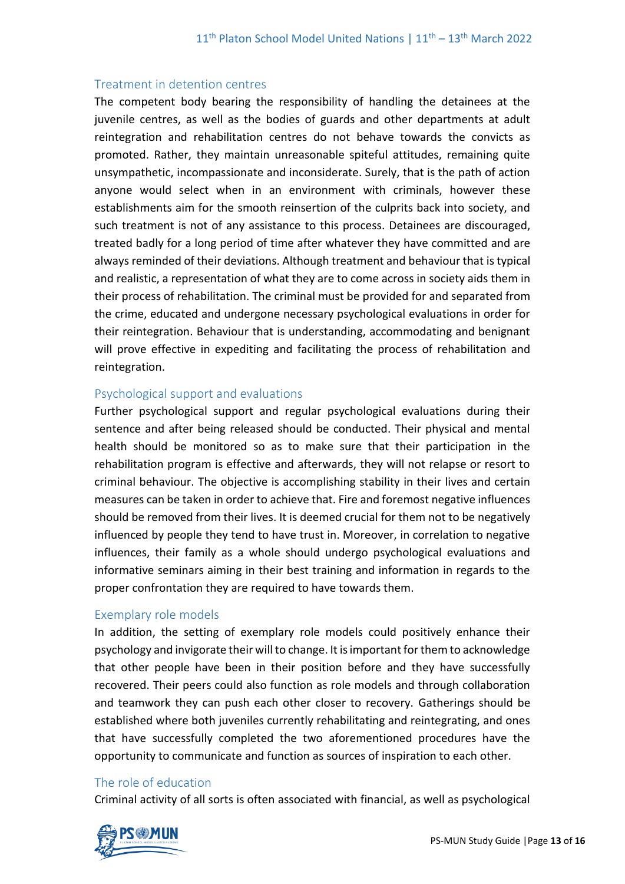#### Treatment in detention centres

The competent body bearing the responsibility of handling the detainees at the juvenile centres, as well as the bodies of guards and other departments at adult reintegration and rehabilitation centres do not behave towards the convicts as promoted. Rather, they maintain unreasonable spiteful attitudes, remaining quite unsympathetic, incompassionate and inconsiderate. Surely, that is the path of action anyone would select when in an environment with criminals, however these establishments aim for the smooth reinsertion of the culprits back into society, and such treatment is not of any assistance to this process. Detainees are discouraged, treated badly for a long period of time after whatever they have committed and are always reminded of their deviations. Although treatment and behaviour that is typical and realistic, a representation of what they are to come across in society aids them in their process of rehabilitation. The criminal must be provided for and separated from the crime, educated and undergone necessary psychological evaluations in order for their reintegration. Behaviour that is understanding, accommodating and benignant will prove effective in expediting and facilitating the process of rehabilitation and reintegration.

#### Psychological support and evaluations

Further psychological support and regular psychological evaluations during their sentence and after being released should be conducted. Their physical and mental health should be monitored so as to make sure that their participation in the rehabilitation program is effective and afterwards, they will not relapse or resort to criminal behaviour. The objective is accomplishing stability in their lives and certain measures can be taken in order to achieve that. Fire and foremost negative influences should be removed from their lives. It is deemed crucial for them not to be negatively influenced by people they tend to have trust in. Moreover, in correlation to negative influences, their family as a whole should undergo psychological evaluations and informative seminars aiming in their best training and information in regards to the proper confrontation they are required to have towards them.

#### Exemplary role models

In addition, the setting of exemplary role models could positively enhance their psychology and invigorate their will to change. It is important for them to acknowledge that other people have been in their position before and they have successfully recovered. Their peers could also function as role models and through collaboration and teamwork they can push each other closer to recovery. Gatherings should be established where both juveniles currently rehabilitating and reintegrating, and ones that have successfully completed the two aforementioned procedures have the opportunity to communicate and function as sources of inspiration to each other.

#### The role of education

Criminal activity of all sorts is often associated with financial, as well as psychological

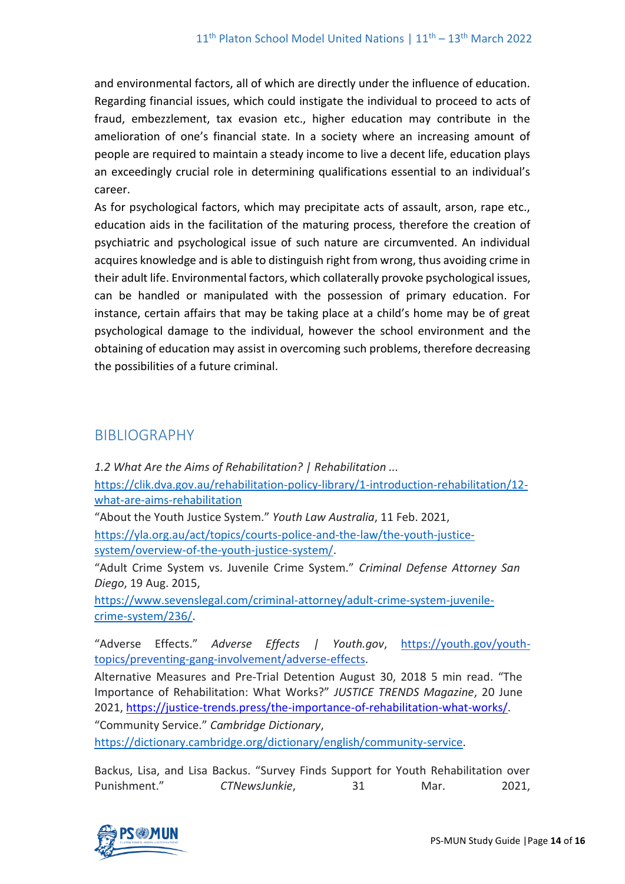and environmental factors, all of which are directly under the influence of education. Regarding financial issues, which could instigate the individual to proceed to acts of fraud, embezzlement, tax evasion etc., higher education may contribute in the amelioration of one's financial state. In a society where an increasing amount of people are required to maintain a steady income to live a decent life, education plays an exceedingly crucial role in determining qualifications essential to an individual's career.

As for psychological factors, which may precipitate acts of assault, arson, rape etc., education aids in the facilitation of the maturing process, therefore the creation of psychiatric and psychological issue of such nature are circumvented. An individual acquires knowledge and is able to distinguish right from wrong, thus avoiding crime in their adult life. Environmental factors, which collaterally provoke psychological issues, can be handled or manipulated with the possession of primary education. For instance, certain affairs that may be taking place at a child's home may be of great psychological damage to the individual, however the school environment and the obtaining of education may assist in overcoming such problems, therefore decreasing the possibilities of a future criminal.

## BIBLIOGRAPHY

*1.2 What Are the Aims of Rehabilitation? | Rehabilitation ...* [https://clik.dva.gov.au/rehabilitation-policy-library/1-introduction-rehabilitation/12](https://clik.dva.gov.au/rehabilitation-policy-library/1-introduction-rehabilitation/12-what-are-aims-rehabilitation) [what-are-aims-rehabilitation](https://clik.dva.gov.au/rehabilitation-policy-library/1-introduction-rehabilitation/12-what-are-aims-rehabilitation) "About the Youth Justice System." *Youth Law Australia*, 11 Feb. 2021, [https://yla.org.au/act/topics/courts-police-and-the-law/the-youth-justice](https://yla.org.au/act/topics/courts-police-and-the-law/the-youth-justice-system/overview-of-the-youth-justice-system/)[system/overview-of-the-youth-justice-system/.](https://yla.org.au/act/topics/courts-police-and-the-law/the-youth-justice-system/overview-of-the-youth-justice-system/) "Adult Crime System vs. Juvenile Crime System." *Criminal Defense Attorney San Diego*, 19 Aug. 2015, [https://www.sevenslegal.com/criminal-attorney/adult-crime-system-juvenile](https://www.sevenslegal.com/criminal-attorney/adult-crime-system-juvenile-crime-system/236/)[crime-system/236/.](https://www.sevenslegal.com/criminal-attorney/adult-crime-system-juvenile-crime-system/236/)

"Adverse Effects." *Adverse Effects | Youth.gov*, [https://youth.gov/youth](https://youth.gov/youth-topics/preventing-gang-involvement/adverse-effects)[topics/preventing-gang-involvement/adverse-effects.](https://youth.gov/youth-topics/preventing-gang-involvement/adverse-effects)

Alternative Measures and Pre-Trial Detention August 30, 2018 5 min read. "The Importance of Rehabilitation: What Works?" *JUSTICE TRENDS Magazine*, 20 June 2021, [https://justice-trends.press/the-importance-of-rehabilitation-what-works/.](https://justice-trends.press/the-importance-of-rehabilitation-what-works/) "Community Service." *Cambridge Dictionary*,

[https://dictionary.cambridge.org/dictionary/english/community-service.](https://dictionary.cambridge.org/dictionary/english/community-service)

Backus, Lisa, and Lisa Backus. "Survey Finds Support for Youth Rehabilitation over Punishment." *CTNewsJunkie*, 31 Mar. 2021,

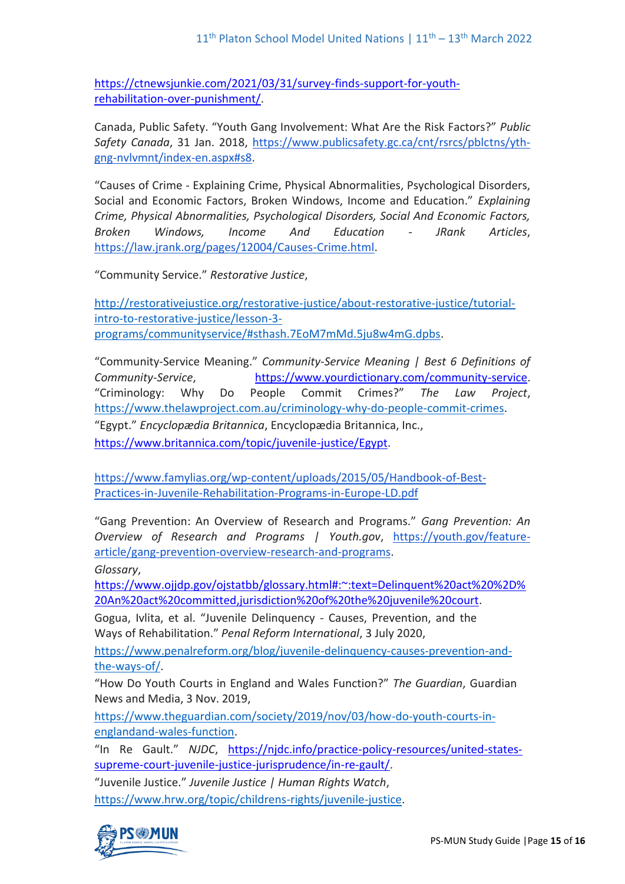[https://ctnewsjunkie.com/2021/03/31/survey-finds-support-for-youth](https://ctnewsjunkie.com/2021/03/31/survey-finds-support-for-youth-rehabilitation-over-punishment/)[rehabilitation-over-punishment/.](https://ctnewsjunkie.com/2021/03/31/survey-finds-support-for-youth-rehabilitation-over-punishment/)

Canada, Public Safety. "Youth Gang Involvement: What Are the Risk Factors?" *Public Safety Canada*, 31 Jan. 2018, [https://www.publicsafety.gc.ca/cnt/rsrcs/pblctns/yth](https://www.publicsafety.gc.ca/cnt/rsrcs/pblctns/yth-gng-nvlvmnt/index-en.aspx#s8)[gng-nvlvmnt/index-en.aspx#s8.](https://www.publicsafety.gc.ca/cnt/rsrcs/pblctns/yth-gng-nvlvmnt/index-en.aspx#s8)

"Causes of Crime - Explaining Crime, Physical Abnormalities, Psychological Disorders, Social and Economic Factors, Broken Windows, Income and Education." *Explaining Crime, Physical Abnormalities, Psychological Disorders, Social And Economic Factors, Broken Windows, Income And Education - JRank Articles*, [https://law.jrank.org/pages/12004/Causes-Crime.html.](https://law.jrank.org/pages/12004/Causes-Crime.html)

"Community Service." *Restorative Justice*,

[http://restorativejustice.org/restorative-justice/about-restorative-justice/tutorial](http://restorativejustice.org/restorative-justice/about-restorative-justice/tutorial-intro-to-restorative-justice/lesson-3-programs/communityservice/#sthash.7EoM7mMd.5ju8w4mG.dpbs)[intro-to-restorative-justice/lesson-3](http://restorativejustice.org/restorative-justice/about-restorative-justice/tutorial-intro-to-restorative-justice/lesson-3-programs/communityservice/#sthash.7EoM7mMd.5ju8w4mG.dpbs) [programs/communityservice/#sthash.7EoM7mMd.5ju8w4mG.dpbs.](http://restorativejustice.org/restorative-justice/about-restorative-justice/tutorial-intro-to-restorative-justice/lesson-3-programs/communityservice/#sthash.7EoM7mMd.5ju8w4mG.dpbs)

"Community-Service Meaning." *Community-Service Meaning | Best 6 Definitions of Community-Service*, [https://www.yourdictionary.com/community-service.](https://www.yourdictionary.com/community-service) "Criminology: Why Do People Commit Crimes?" *The Law Project*, [https://www.thelawproject.com.au/criminology-why-do-people-commit-crimes.](https://www.thelawproject.com.au/criminology-why-do-people-commit-crimes)

"Egypt." *Encyclopædia Britannica*, Encyclopædia Britannica, Inc., [https://www.britannica.com/topic/juvenile-justice/Egypt.](https://www.britannica.com/topic/juvenile-justice/Egypt)

[https://www.famylias.org/wp-content/uploads/2015/05/Handbook-of-Best-](https://www.famylias.org/wp-content/uploads/2015/05/Handbook-of-Best-Practices-in-Juvenile-Rehabilitation-Programs-in-Europe-LD.pdf)[Practices-in-Juvenile-Rehabilitation-Programs-in-Europe-LD.pdf](https://www.famylias.org/wp-content/uploads/2015/05/Handbook-of-Best-Practices-in-Juvenile-Rehabilitation-Programs-in-Europe-LD.pdf)

"Gang Prevention: An Overview of Research and Programs." *Gang Prevention: An Overview of Research and Programs | Youth.gov*, [https://youth.gov/feature](https://youth.gov/feature-article/gang-prevention-overview-research-and-programs)[article/gang-prevention-overview-research-and-programs.](https://youth.gov/feature-article/gang-prevention-overview-research-and-programs)

*Glossary*,

[https://www.ojjdp.gov/ojstatbb/glossary.html#:~:text=Delinquent%20act%20%2D%](https://www.ojjdp.gov/ojstatbb/glossary.html#:~:text=Delinquent%20act%20%2D%20An%20act%20committed,jurisdiction%20of%20the%20juvenile%20court) [20An%20act%20committed,jurisdiction%20of%20the%20juvenile%20court.](https://www.ojjdp.gov/ojstatbb/glossary.html#:~:text=Delinquent%20act%20%2D%20An%20act%20committed,jurisdiction%20of%20the%20juvenile%20court)

Gogua, Ivlita, et al. "Juvenile Delinquency - Causes, Prevention, and the Ways of Rehabilitation." *Penal Reform International*, 3 July 2020,

[https://www.penalreform.org/blog/juvenile-delinquency-causes-prevention-and](https://www.penalreform.org/blog/juvenile-delinquency-causes-prevention-and-the-ways-of/)[the-ways-of/.](https://www.penalreform.org/blog/juvenile-delinquency-causes-prevention-and-the-ways-of/)

"How Do Youth Courts in England and Wales Function?" *The Guardian*, Guardian News and Media, 3 Nov. 2019,

[https://www.theguardian.com/society/2019/nov/03/how-do-youth-courts-in](https://www.theguardian.com/society/2019/nov/03/how-do-youth-courts-in-englandand-wales-function)[englandand-wales-function.](https://www.theguardian.com/society/2019/nov/03/how-do-youth-courts-in-englandand-wales-function)

"In Re Gault." *NJDC*, [https://njdc.info/practice-policy-resources/united-states](https://njdc.info/practice-policy-resources/united-states-supreme-court-juvenile-justice-jurisprudence/in-re-gault/)[supreme-court-juvenile-justice-jurisprudence/in-re-gault/.](https://njdc.info/practice-policy-resources/united-states-supreme-court-juvenile-justice-jurisprudence/in-re-gault/)

"Juvenile Justice." *Juvenile Justice | Human Rights Watch*,

[https://www.hrw.org/topic/childrens-rights/juvenile-justice.](https://www.hrw.org/topic/childrens-rights/juvenile-justice)